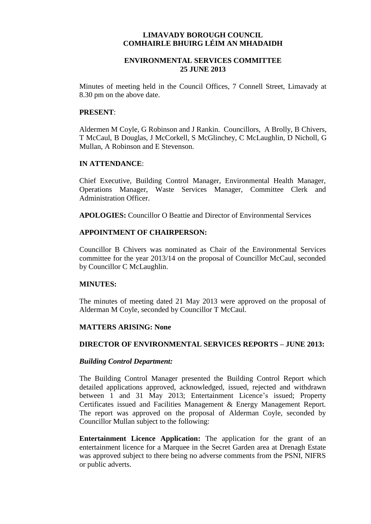## **LIMAVADY BOROUGH COUNCIL COMHAIRLE BHUIRG LÉIM AN MHADAIDH**

# **ENVIRONMENTAL SERVICES COMMITTEE 25 JUNE 2013**

Minutes of meeting held in the Council Offices, 7 Connell Street, Limavady at 8.30 pm on the above date.

#### **PRESENT**:

Aldermen M Coyle, G Robinson and J Rankin. Councillors, A Brolly, B Chivers, T McCaul, B Douglas, J McCorkell, S McGlinchey, C McLaughlin, D Nicholl, G Mullan, A Robinson and E Stevenson.

#### **IN ATTENDANCE**:

Chief Executive, Building Control Manager, Environmental Health Manager, Operations Manager, Waste Services Manager, Committee Clerk and Administration Officer.

**APOLOGIES:** Councillor O Beattie and Director of Environmental Services

# **APPOINTMENT OF CHAIRPERSON:**

Councillor B Chivers was nominated as Chair of the Environmental Services committee for the year 2013/14 on the proposal of Councillor McCaul, seconded by Councillor C McLaughlin.

## **MINUTES:**

The minutes of meeting dated 21 May 2013 were approved on the proposal of Alderman M Coyle, seconded by Councillor T McCaul.

## **MATTERS ARISING: None**

## **DIRECTOR OF ENVIRONMENTAL SERVICES REPORTS – JUNE 2013:**

#### *Building Control Department:*

The Building Control Manager presented the Building Control Report which detailed applications approved, acknowledged, issued, rejected and withdrawn between 1 and 31 May 2013; Entertainment Licence's issued; Property Certificates issued and Facilities Management & Energy Management Report. The report was approved on the proposal of Alderman Coyle, seconded by Councillor Mullan subject to the following:

**Entertainment Licence Application:** The application for the grant of an entertainment licence for a Marquee in the Secret Garden area at Drenagh Estate was approved subject to there being no adverse comments from the PSNI, NIFRS or public adverts.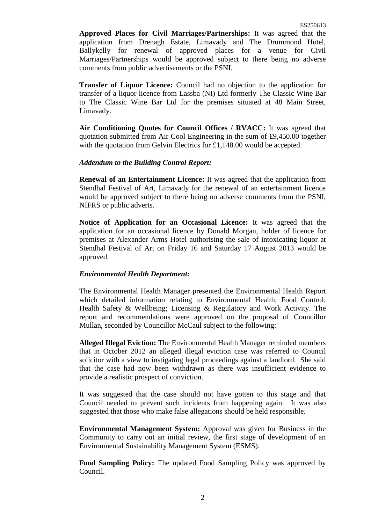**Approved Places for Civil Marriages/Partnerships:** It was agreed that the application from Drenagh Estate, Limavady and The Drummond Hotel, Ballykelly for renewal of approved places for a venue for Civil Marriages/Partnerships would be approved subject to there being no adverse comments from public advertisements or the PSNI.

**Transfer of Liquor Licence:** Council had no objection to the application for transfer of a liquor licence from Lassba (NI) Ltd formerly The Classic Wine Bar to The Classic Wine Bar Ltd for the premises situated at 48 Main Street, Limavady.

**Air Conditioning Quotes for Council Offices / RVACC:** It was agreed that quotation submitted from Air Cool Engineering in the sum of £9,450.00 together with the quotation from Gelvin Electrics for £1,148.00 would be accepted.

## *Addendum to the Building Control Report:*

**Renewal of an Entertainment Licence:** It was agreed that the application from Stendhal Festival of Art, Limavady for the renewal of an entertainment licence would be approved subject to there being no adverse comments from the PSNI, NIFRS or public adverts.

**Notice of Application for an Occasional Licence:** It was agreed that the application for an occasional licence by Donald Morgan, holder of licence for premises at Alexander Arms Hotel authorising the sale of intoxicating liquor at Stendhal Festival of Art on Friday 16 and Saturday 17 August 2013 would be approved.

## *Environmental Health Department:*

The Environmental Health Manager presented the Environmental Health Report which detailed information relating to Environmental Health; Food Control; Health Safety & Wellbeing; Licensing & Regulatory and Work Activity. The report and recommendations were approved on the proposal of Councillor Mullan, seconded by Councillor McCaul subject to the following:

**Alleged Illegal Eviction:** The Environmental Health Manager reminded members that in October 2012 an alleged illegal eviction case was referred to Council solicitor with a view to instigating legal proceedings against a landlord. She said that the case had now been withdrawn as there was insufficient evidence to provide a realistic prospect of conviction.

It was suggested that the case should not have gotten to this stage and that Council needed to prevent such incidents from happening again. It was also suggested that those who make false allegations should be held responsible.

**Environmental Management System:** Approval was given for Business in the Community to carry out an initial review, the first stage of development of an Environmental Sustainability Management System (ESMS).

**Food Sampling Policy:** The updated Food Sampling Policy was approved by Council.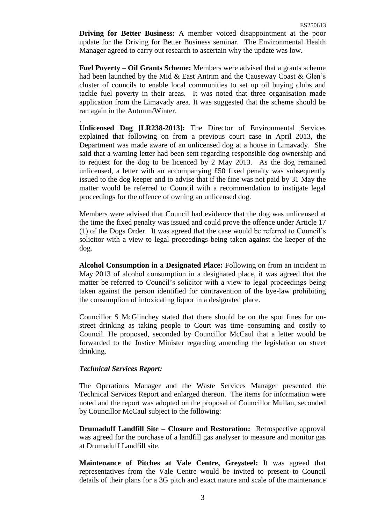**Driving for Better Business:** A member voiced disappointment at the poor update for the Driving for Better Business seminar. The Environmental Health Manager agreed to carry out research to ascertain why the update was low.

**Fuel Poverty – Oil Grants Scheme:** Members were advised that a grants scheme had been launched by the Mid & East Antrim and the Causeway Coast & Glen's cluster of councils to enable local communities to set up oil buying clubs and tackle fuel poverty in their areas. It was noted that three organisation made application from the Limavady area. It was suggested that the scheme should be ran again in the Autumn/Winter.

**Unlicensed Dog [LR238-2013]:** The Director of Environmental Services explained that following on from a previous court case in April 2013, the Department was made aware of an unlicensed dog at a house in Limavady. She said that a warning letter had been sent regarding responsible dog ownership and to request for the dog to be licenced by 2 May 2013. As the dog remained unlicensed, a letter with an accompanying  $£50$  fixed penalty was subsequently issued to the dog keeper and to advise that if the fine was not paid by 31 May the matter would be referred to Council with a recommendation to instigate legal proceedings for the offence of owning an unlicensed dog.

Members were advised that Council had evidence that the dog was unlicensed at the time the fixed penalty was issued and could prove the offence under Article 17 (1) of the Dogs Order. It was agreed that the case would be referred to Council's solicitor with a view to legal proceedings being taken against the keeper of the dog.

**Alcohol Consumption in a Designated Place:** Following on from an incident in May 2013 of alcohol consumption in a designated place, it was agreed that the matter be referred to Council's solicitor with a view to legal proceedings being taken against the person identified for contravention of the bye-law prohibiting the consumption of intoxicating liquor in a designated place.

Councillor S McGlinchey stated that there should be on the spot fines for onstreet drinking as taking people to Court was time consuming and costly to Council. He proposed, seconded by Councillor McCaul that a letter would be forwarded to the Justice Minister regarding amending the legislation on street drinking.

## *Technical Services Report:*

.

The Operations Manager and the Waste Services Manager presented the Technical Services Report and enlarged thereon. The items for information were noted and the report was adopted on the proposal of Councillor Mullan, seconded by Councillor McCaul subject to the following:

**Drumaduff Landfill Site – Closure and Restoration:** Retrospective approval was agreed for the purchase of a landfill gas analyser to measure and monitor gas at Drumaduff Landfill site.

**Maintenance of Pitches at Vale Centre, Greysteel:** It was agreed that representatives from the Vale Centre would be invited to present to Council details of their plans for a 3G pitch and exact nature and scale of the maintenance